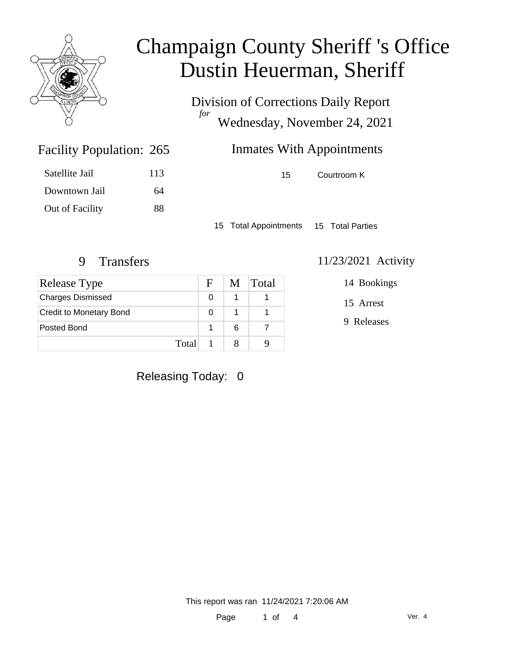

Division of Corrections Daily Report *for* Wednesday, November 24, 2021

| 265 | <b>Inmates With Appointments</b> |             |  |
|-----|----------------------------------|-------------|--|
| 113 | 15.                              | Courtroom K |  |

Satellite Jail 113 Downtown Jail 64 Out of Facility 88

Facility Population: 265

15 Total Appointments 15 Total Parties

| Release Type                   | F. |   | M Total |
|--------------------------------|----|---|---------|
| <b>Charges Dismissed</b>       |    |   |         |
| <b>Credit to Monetary Bond</b> |    |   |         |
| Posted Bond                    |    | 6 |         |
| Total                          |    |   |         |

#### 9 Transfers 11/23/2021 Activity

14 Bookings

15 Arrest

9 Releases

### Releasing Today: 0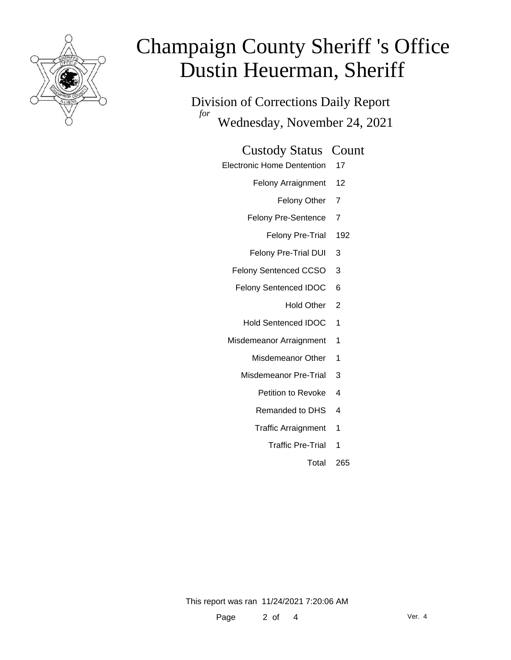

Division of Corrections Daily Report *for* Wednesday, November 24, 2021

#### Custody Status Count

- Electronic Home Dentention 17
	- Felony Arraignment 12
		- Felony Other 7
	- Felony Pre-Sentence 7
		- Felony Pre-Trial 192
	- Felony Pre-Trial DUI 3
	- Felony Sentenced CCSO 3
	- Felony Sentenced IDOC 6
		- Hold Other 2
		- Hold Sentenced IDOC 1
	- Misdemeanor Arraignment 1
		- Misdemeanor Other 1
		- Misdemeanor Pre-Trial 3
			- Petition to Revoke 4
			- Remanded to DHS 4
			- Traffic Arraignment 1
				- Traffic Pre-Trial 1
					- Total 265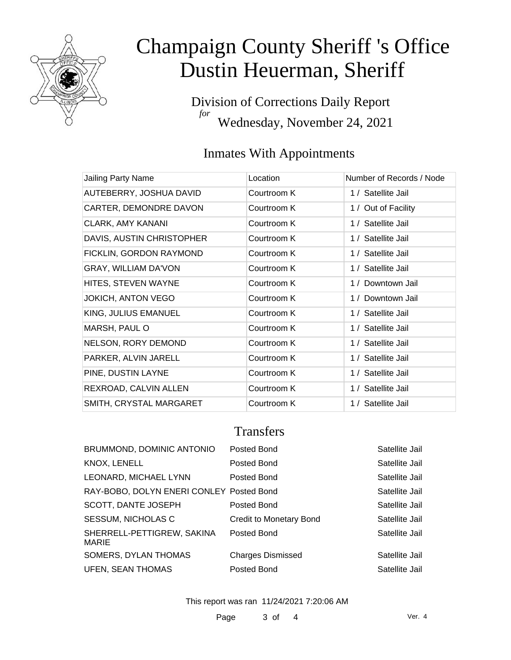

Division of Corrections Daily Report *for* Wednesday, November 24, 2021

### Inmates With Appointments

| Jailing Party Name          | Location    | Number of Records / Node |
|-----------------------------|-------------|--------------------------|
| AUTEBERRY, JOSHUA DAVID     | Courtroom K | 1 / Satellite Jail       |
| CARTER, DEMONDRE DAVON      | Courtroom K | 1 / Out of Facility      |
| <b>CLARK, AMY KANANI</b>    | Courtroom K | 1 / Satellite Jail       |
| DAVIS, AUSTIN CHRISTOPHER   | Courtroom K | 1 / Satellite Jail       |
| FICKLIN, GORDON RAYMOND     | Courtroom K | 1 / Satellite Jail       |
| <b>GRAY, WILLIAM DA'VON</b> | Courtroom K | 1 / Satellite Jail       |
| HITES, STEVEN WAYNE         | Courtroom K | 1 / Downtown Jail        |
| <b>JOKICH, ANTON VEGO</b>   | Courtroom K | 1 / Downtown Jail        |
| KING, JULIUS EMANUEL        | Courtroom K | 1 / Satellite Jail       |
| MARSH, PAUL O               | Courtroom K | 1 / Satellite Jail       |
| NELSON, RORY DEMOND         | Courtroom K | 1 / Satellite Jail       |
| PARKER, ALVIN JARELL        | Courtroom K | 1 / Satellite Jail       |
| PINE, DUSTIN LAYNE          | Courtroom K | 1 / Satellite Jail       |
| REXROAD, CALVIN ALLEN       | Courtroom K | 1 / Satellite Jail       |
| SMITH, CRYSTAL MARGARET     | Courtroom K | 1 / Satellite Jail       |

### **Transfers**

| BRUMMOND, DOMINIC ANTONIO                  | Posted Bond              | Satellite Jail |
|--------------------------------------------|--------------------------|----------------|
| KNOX, LENELL                               | Posted Bond              | Satellite Jail |
| LEONARD, MICHAEL LYNN                      | Posted Bond              | Satellite Jail |
| RAY-BOBO, DOLYN ENERI CONLEY Posted Bond   |                          | Satellite Jail |
| SCOTT, DANTE JOSEPH                        | Posted Bond              | Satellite Jail |
| <b>SESSUM, NICHOLAS C</b>                  | Credit to Monetary Bond  | Satellite Jail |
| SHERRELL-PETTIGREW, SAKINA<br><b>MARIE</b> | Posted Bond              | Satellite Jail |
| SOMERS, DYLAN THOMAS                       | <b>Charges Dismissed</b> | Satellite Jail |
| <b>UFEN, SEAN THOMAS</b>                   | Posted Bond              | Satellite Jail |

This report was ran 11/24/2021 7:20:06 AM